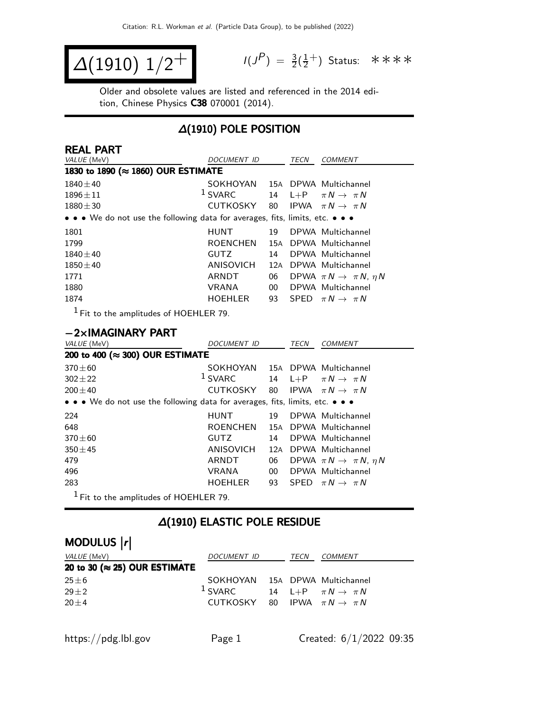$$
\Delta(1910) 1/2^+
$$

$$
I(J^{P}) = \frac{3}{2}(\frac{1}{2}^{+})
$$
 Status:  $\ast \ast \ast \ast$ 

Older and obsolete values are listed and referenced in the 2014 edition, Chinese Physics C38 070001 (2014).

## ∆(1910) POLE POSITION

| <b>REAL PART</b>                                                                                                      |                    |     |      |                                           |
|-----------------------------------------------------------------------------------------------------------------------|--------------------|-----|------|-------------------------------------------|
| VALUE (MeV)                                                                                                           | DOCUMENT ID        |     | TECN | <b>COMMENT</b>                            |
| 1830 to 1890 (≈ 1860) OUR ESTIMATE                                                                                    |                    |     |      |                                           |
| $1840 + 40$                                                                                                           | SOKHOYAN           |     |      | 15A DPWA Multichannel                     |
| $1896 \pm 11$                                                                                                         | <sup>1</sup> SVARC |     |      | 14 L+P $\pi N \rightarrow \pi N$          |
| $1880 \pm 30$                                                                                                         | CUTKOSKY           | 80  |      | IPWA $\pi N \rightarrow \pi N$            |
| $\bullet \bullet \bullet$ We do not use the following data for averages, fits, limits, etc. $\bullet \bullet \bullet$ |                    |     |      |                                           |
| 1801                                                                                                                  | <b>HUNT</b>        | 19  |      | DPWA Multichannel                         |
| 1799                                                                                                                  | <b>ROENCHEN</b>    |     |      | 15A DPWA Multichannel                     |
| $1840 \pm 40$                                                                                                         | <b>GUTZ</b>        | 14  |      | DPWA Multichannel                         |
| $1850 \pm 40$                                                                                                         | ANISOVICH          | 12A |      | DPWA Multichannel                         |
| 1771                                                                                                                  | ARNDT              | 06  |      | DPWA $\pi N \rightarrow \pi N$ , $\eta N$ |
| 1880                                                                                                                  | <b>VRANA</b>       | 00  |      | DPWA Multichannel                         |
| 1874                                                                                                                  | <b>HOEHLER</b>     | 93  |      | SPFD $\pi N \rightarrow \pi N$            |
| $1 -$                                                                                                                 |                    |     |      |                                           |

1 Fit to the amplitudes of HOEHLER 79.

#### −2×IMAGINARY PART

| VALUE (MeV)                                                                   | <b>DOCUMENT ID</b> |                 | TECN | <b>COMMENT</b>                            |  |  |  |  |
|-------------------------------------------------------------------------------|--------------------|-----------------|------|-------------------------------------------|--|--|--|--|
| 200 to 400 (≈ 300) OUR ESTIMATE                                               |                    |                 |      |                                           |  |  |  |  |
| $370 + 60$                                                                    | SOKHOYAN           |                 |      | 15A DPWA Multichannel                     |  |  |  |  |
| $302 \pm 22$                                                                  | $1$ SVARC          | 14              |      | L+P $\pi N \rightarrow \pi N$             |  |  |  |  |
| $200 \pm 40$                                                                  | CUTKOSKY           | 80              |      | IPWA $\pi N \rightarrow \pi N$            |  |  |  |  |
| • • • We do not use the following data for averages, fits, limits, etc. • • • |                    |                 |      |                                           |  |  |  |  |
| 224                                                                           | <b>HUNT</b>        | 19              |      | DPWA Multichannel                         |  |  |  |  |
| 648                                                                           | <b>ROENCHEN</b>    | 15A             |      | DPWA Multichannel                         |  |  |  |  |
| $370 + 60$                                                                    | <b>GUTZ</b>        | 14              |      | DPWA Multichannel                         |  |  |  |  |
| $350 + 45$                                                                    | <b>ANISOVICH</b>   | 12A             |      | DPWA Multichannel                         |  |  |  |  |
| 479                                                                           | ARNDT              | 06              |      | DPWA $\pi N \rightarrow \pi N$ , $\eta N$ |  |  |  |  |
| 496                                                                           | <b>VRANA</b>       | 00 <sup>°</sup> |      | DPWA Multichannel                         |  |  |  |  |
| 283                                                                           | <b>HOEHLER</b>     | 93              |      | SPED $\pi N \rightarrow \pi N$            |  |  |  |  |
| $1$ Fit to the amplitudes of HOEHLER 79.                                      |                    |                 |      |                                           |  |  |  |  |

### ∆(1910) ELASTIC POLE RESIDUE

# MODULUS |r|

| <i>VALUE</i> (MeV)                    | DOCUMENT ID                                         | TECN | <i>COMMENT</i> |
|---------------------------------------|-----------------------------------------------------|------|----------------|
| 20 to 30 ( $\approx$ 25) OUR ESTIMATE |                                                     |      |                |
| $25 \pm 6$                            | SOKHOYAN 15A DPWA Multichannel                      |      |                |
| $29 \pm 2$                            | <sup>1</sup> SVARC 14 L+P $\pi N \rightarrow \pi N$ |      |                |
| $20 + 4$                              | CUTKOSKY 80 IPWA $\pi N \rightarrow \pi N$          |      |                |
|                                       |                                                     |      |                |
|                                       |                                                     |      |                |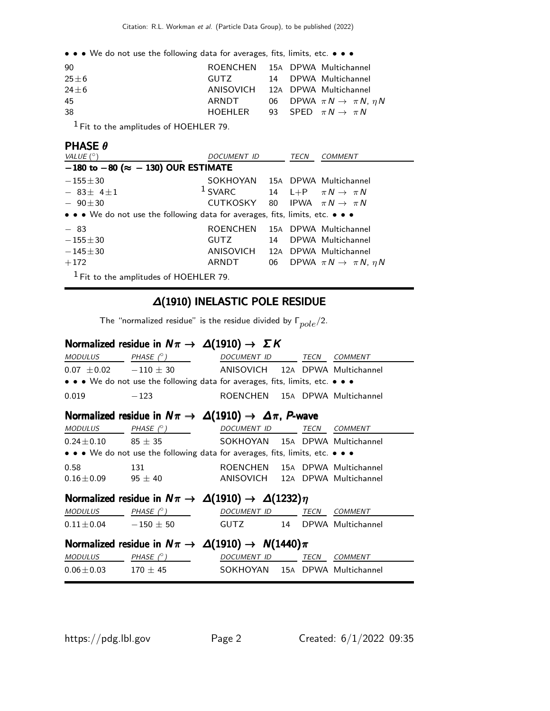• • • We do not use the following data for averages, fits, limits, etc. • • •

| -90      | ROENCHEN 15A DPWA Multichannel            |  |                                              |
|----------|-------------------------------------------|--|----------------------------------------------|
| $25 + 6$ | GUTZ                                      |  | 14 DPWA Multichannel                         |
| $24 + 6$ | ANISOVICH 12A DPWA Multichannel           |  |                                              |
| 45       | ARNDT                                     |  | 06 DPWA $\pi N \rightarrow \pi N$ , $\eta N$ |
| 38       | HOEHLER 93 SPED $\pi N \rightarrow \pi N$ |  |                                              |
|          |                                           |  |                                              |

 $<sup>1</sup>$  Fit to the amplitudes of HOEHLER 79.</sup>

#### PHASE θ

| VALUE $(^\circ)$                                                              | DOCUMENT ID                     |    |  | <b>COMMENT</b>                               |
|-------------------------------------------------------------------------------|---------------------------------|----|--|----------------------------------------------|
| $-180$ to $-80$ ( $\approx -130$ ) OUR ESTIMATE                               |                                 |    |  |                                              |
| $-155 \pm 30$                                                                 | SOKHOYAN 15A DPWA Multichannel  |    |  |                                              |
| $-83\pm 41$                                                                   | $1$ SVARC                       |    |  | 14 L+P $\pi N \rightarrow \pi N$             |
| $-90 \pm 30$                                                                  | CUTKOSKY                        |    |  | 80 IPWA $\pi N \rightarrow \pi N$            |
| • • • We do not use the following data for averages, fits, limits, etc. • • • |                                 |    |  |                                              |
| $-83$                                                                         | ROENCHEN                        |    |  | 15A DPWA Multichannel                        |
| $-155\pm30$                                                                   | <b>GUTZ</b>                     | 14 |  | DPWA Multichannel                            |
| $-145\pm30$                                                                   | ANISOVICH 12A DPWA Multichannel |    |  |                                              |
| $+172$                                                                        | ARNDT                           |    |  | 06 DPWA $\pi N \rightarrow \pi N$ , $\eta N$ |
| $1$ Fit to the amplitudes of HOEHLER 79.                                      |                                 |    |  |                                              |

#### ∆(1910) INELASTIC POLE RESIDUE

The "normalized residue" is the residue divided by  $\Gamma_{pole}/2$ .

## Normalized residue in  $N\pi\to\Delta(1910)\to\Sigma K$

|                                                                      | $MODULUS$ PHASE $(^{\circ})$                                                  | DOCUMENT ID TECN COMMENT        |  |      |         |  |  |  |
|----------------------------------------------------------------------|-------------------------------------------------------------------------------|---------------------------------|--|------|---------|--|--|--|
|                                                                      | $0.07 \pm 0.02$ $-110 \pm 30$ ANISOVICH 12A DPWA Multichannel                 |                                 |  |      |         |  |  |  |
|                                                                      | • • • We do not use the following data for averages, fits, limits, etc. • • • |                                 |  |      |         |  |  |  |
| 0.019                                                                | $-123$                                                                        | ROENCHEN 15A DPWA Multichannel  |  |      |         |  |  |  |
| Normalized residue in $N\pi \to \Delta(1910) \to \Delta\pi$ , P-wave |                                                                               |                                 |  |      |         |  |  |  |
| <b>MODULUS</b>                                                       | $PHASE (^\circ)$ DOCUMENT ID TECN COMMENT                                     |                                 |  |      |         |  |  |  |
|                                                                      | $0.24 \pm 0.10$ 85 $\pm$ 35 SOKHOYAN 15A DPWA Multichannel                    |                                 |  |      |         |  |  |  |
|                                                                      | • • • We do not use the following data for averages, fits, limits, etc. • • • |                                 |  |      |         |  |  |  |
| 0.58                                                                 | 131                                                                           | ROENCHEN 15A DPWA Multichannel  |  |      |         |  |  |  |
|                                                                      | $0.16 \pm 0.09$ 95 $\pm$ 40                                                   | ANISOVICH 12A DPWA Multichannel |  |      |         |  |  |  |
|                                                                      | Normalized residue in $N\pi \to \Delta(1910) \to \Delta(1232)\eta$            |                                 |  |      |         |  |  |  |
|                                                                      | $MODULUS$ PHASE $(^\circ)$ DOCUMENT ID TECN                                   |                                 |  |      | COMMENT |  |  |  |
| $0.11 \pm 0.04$ $-150 \pm 50$                                        |                                                                               | GUTZ 14 DPWA Multichannel       |  |      |         |  |  |  |
| Normalized residue in $N\pi \to \Delta(1910) \to N(1440)\pi$         |                                                                               |                                 |  |      |         |  |  |  |
| <b>MODULUS</b>                                                       | $PHASE (^\circ)$                                                              | DOCUMENT ID                     |  | TECN | COMMENT |  |  |  |
| $0.06 \pm 0.03$                                                      | $170\,\pm\,45$                                                                | SOKHOYAN 15A DPWA Multichannel  |  |      |         |  |  |  |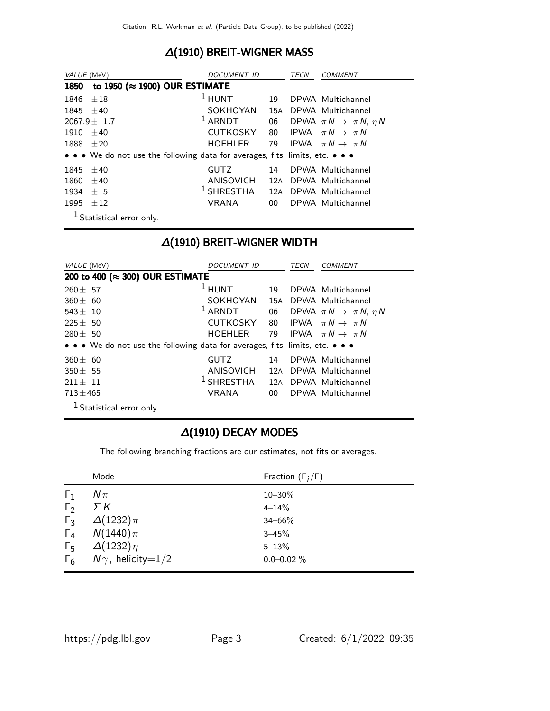## ∆(1910) BREIT-WIGNER MASS

| VALUE (MeV)                                    |                                                                               | <i>DOCUMENT ID</i> |        | <i>TECN</i> | <i>COMMENT</i>                            |  |  |  |
|------------------------------------------------|-------------------------------------------------------------------------------|--------------------|--------|-------------|-------------------------------------------|--|--|--|
| to 1950 ( $\approx$ 1900) OUR ESTIMATE<br>1850 |                                                                               |                    |        |             |                                           |  |  |  |
| $1846 \pm 18$                                  |                                                                               | $1$ HUNT           | 19     |             | DPWA Multichannel                         |  |  |  |
| 1845 $\pm 40$                                  |                                                                               | SOKHOYAN           |        |             | 15A DPWA Multichannel                     |  |  |  |
|                                                | $2067.9 \pm 1.7$                                                              | $1$ ARNDT          | 06     |             | DPWA $\pi N \rightarrow \pi N$ , $\eta N$ |  |  |  |
| $1910 + 40$                                    |                                                                               | <b>CUTKOSKY</b>    |        |             | 80 IPWA $\pi N \rightarrow \pi N$         |  |  |  |
| $1888 \pm 20$                                  |                                                                               | HOEHLER            |        |             | 79 IPWA $\pi N \rightarrow \pi N$         |  |  |  |
|                                                | • • • We do not use the following data for averages, fits, limits, etc. • • • |                    |        |             |                                           |  |  |  |
| 1845 $\pm 40$                                  |                                                                               | <b>GUTZ</b>        | 14     |             | DPWA Multichannel                         |  |  |  |
| 1860                                           | $\pm 40$                                                                      | ANISOVICH          |        |             | 12A DPWA Multichannel                     |  |  |  |
| 1934                                           | ± 5                                                                           | $^1$ SHRESTHA      |        |             | 12A DPWA Multichannel                     |  |  |  |
| 1995                                           | ±12                                                                           | VRANA              | $00-1$ |             | DPWA Multichannel                         |  |  |  |
|                                                | <sup>1</sup> Statistical error only.                                          |                    |        |             |                                           |  |  |  |

## ∆(1910) BREIT-WIGNER WIDTH

| VALUE (MeV)                                                                   | DOCUMENT ID               |        | TECN | <b>COMMENT</b>                            |  |  |
|-------------------------------------------------------------------------------|---------------------------|--------|------|-------------------------------------------|--|--|
| 200 to 400 (≈ 300) OUR ESTIMATE                                               |                           |        |      |                                           |  |  |
| $260 \pm 57$                                                                  | $1$ HUNT                  | 19     |      | DPWA Multichannel                         |  |  |
| $360 \pm 60$                                                                  | SOKHOYAN                  | 15A    |      | DPWA Multichannel                         |  |  |
| $543 \pm 10$                                                                  | $1$ ARNDT                 | 06     |      | DPWA $\pi N \rightarrow \pi N$ , $\eta N$ |  |  |
| $225 \pm 50$                                                                  | <b>CUTKOSKY</b>           | 80     |      | IPWA $\pi N \rightarrow \pi N$            |  |  |
| $280 + 50$                                                                    | <b>HOEHLER</b>            | 79     |      | IPWA $\pi N \rightarrow \pi N$            |  |  |
| • • • We do not use the following data for averages, fits, limits, etc. • • • |                           |        |      |                                           |  |  |
| $360 \pm 60$                                                                  | <b>GUTZ</b>               | 14     |      | DPWA Multichannel                         |  |  |
| $350 \pm 55$                                                                  | ANISOVICH                 | 12A    |      | DPWA Multichannel                         |  |  |
| $211 \pm 11$                                                                  | <sup>1</sup> SHRESTHA 12A |        |      | DPWA Multichannel                         |  |  |
| $713 \pm 465$                                                                 | <b>VRANA</b>              | $00\,$ |      | DPWA Multichannel                         |  |  |
| <sup>1</sup> Statistical error only.                                          |                           |        |      |                                           |  |  |

#### ∆(1910) DECAY MODES

The following branching fractions are our estimates, not fits or averages.

|              | Mode                                | Fraction $(\Gamma_i/\Gamma)$ |
|--------------|-------------------------------------|------------------------------|
| $\Gamma_1$   | $N\pi$                              | $10 - 30\%$                  |
| $\Gamma_{2}$ | $\Sigma K$                          | $4 - 14%$                    |
| $\Gamma_3$   | $\Delta(1232)\pi$                   | $34 - 66%$                   |
|              | $\Gamma_4$ $N(1440)\pi$             | $3 - 45%$                    |
| $\Gamma_{5}$ | $\Delta(1232)\eta$                  | $5 - 13%$                    |
|              | $\Gamma_6$ $N\gamma$ , helicity=1/2 | $0.0 - 0.02 \%$              |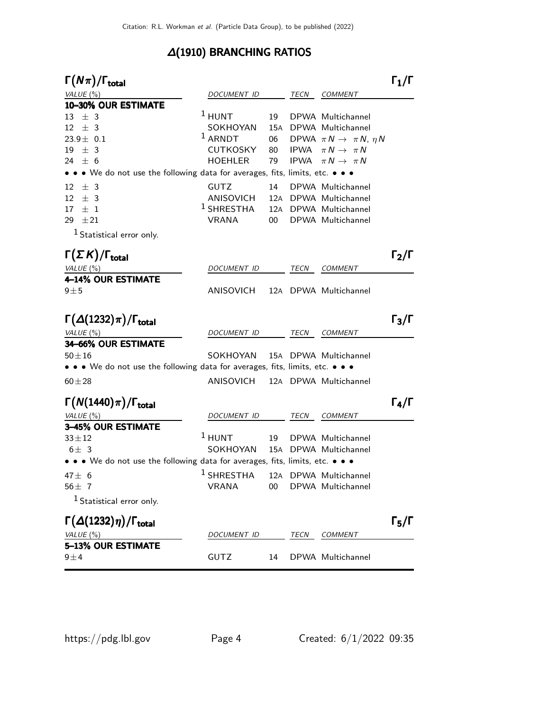## ∆(1910) BRANCHING RATIOS

| $\Gamma(N\pi)/\Gamma_{\rm total}$                                                                                                   |                           |            |             |                                           | $\Gamma_1/\Gamma$ |
|-------------------------------------------------------------------------------------------------------------------------------------|---------------------------|------------|-------------|-------------------------------------------|-------------------|
| VALUE (%)                                                                                                                           | DOCUMENT ID               |            | TECN        | <b>COMMENT</b>                            |                   |
| 10-30% OUR ESTIMATE                                                                                                                 |                           |            |             |                                           |                   |
| ± 3<br>13                                                                                                                           | $1$ HUNT                  | 19         |             | DPWA Multichannel                         |                   |
| $\pm$ 3<br>12                                                                                                                       | SOKHOYAN                  | 15A        |             | DPWA Multichannel                         |                   |
| $23.9 \pm 0.1$                                                                                                                      | $1$ ARNDT                 | 06         |             | DPWA $\pi N \rightarrow \pi N$ , $\eta N$ |                   |
| 19<br>$\pm$ 3                                                                                                                       | <b>CUTKOSKY</b>           | 80         |             | IPWA $\pi N \rightarrow \pi N$            |                   |
| 24 $\pm$ 6<br>$\bullet \bullet \bullet$ We do not use the following data for averages, fits, limits, etc. $\bullet \bullet \bullet$ | <b>HOEHLER</b>            | 79         | <b>IPWA</b> | $\pi\,N\,\rightarrow\,\,\pi\,N$           |                   |
|                                                                                                                                     |                           |            |             |                                           |                   |
| $\pm$ 3<br>12                                                                                                                       | <b>GUTZ</b>               | 14         |             | DPWA Multichannel                         |                   |
| $±$ 3<br>12                                                                                                                         | ANISOVICH<br>$1$ SHRESTHA | 12A<br>12A |             | DPWA Multichannel                         |                   |
| $\pm$ 1<br>17<br>29<br>$\pm 21$                                                                                                     | <b>VRANA</b>              | 00         |             | DPWA Multichannel<br>DPWA Multichannel    |                   |
| <sup>1</sup> Statistical error only.                                                                                                |                           |            |             |                                           |                   |
|                                                                                                                                     |                           |            |             |                                           |                   |
| $\Gamma(\Sigma K)/\Gamma_{\rm total}$                                                                                               |                           |            |             |                                           | $\Gamma_2/\Gamma$ |
| VALUE (%)                                                                                                                           | <i>DOCUMENT ID</i>        |            | TECN        | <b>COMMENT</b>                            |                   |
| 4-14% OUR ESTIMATE<br>$9 \pm 5$                                                                                                     | ANISOVICH                 |            |             | 12A DPWA Multichannel                     |                   |
|                                                                                                                                     |                           |            |             |                                           |                   |
| $\Gamma(\Delta(1232)\pi)/\Gamma_{\rm total}$                                                                                        |                           |            |             |                                           | $\Gamma_3/\Gamma$ |
| VALUE (%)                                                                                                                           | <i>DOCUMENT ID</i>        |            | TECN        | <b>COMMENT</b>                            |                   |
| 34-66% OUR ESTIMATE                                                                                                                 |                           |            |             |                                           |                   |
| $50 + 16$                                                                                                                           | SOKHOYAN                  |            |             | 15A DPWA Multichannel                     |                   |
| • • • We do not use the following data for averages, fits, limits, etc. • • •                                                       |                           |            |             |                                           |                   |
| $60 + 28$                                                                                                                           | ANISOVICH                 |            |             | 12A DPWA Multichannel                     |                   |
| $\Gamma(N(1440)\pi)/\Gamma_{\rm total}$                                                                                             |                           |            |             |                                           | $\Gamma_4/\Gamma$ |
| VALUE (%)                                                                                                                           | DOCUMENT ID               |            | TECN        | COMMENT                                   |                   |
| <b>3-45% OUR ESTIMATE</b>                                                                                                           |                           |            |             |                                           |                   |
| $33 + 12$                                                                                                                           | $^1$ HUNT                 | 19         |             | DPWA Multichannel                         |                   |
| $6\pm$ 3                                                                                                                            | SOKHOYAN                  | 15A        |             | DPWA Multichannel                         |                   |
| • • • We do not use the following data for averages, fits, limits, etc. • • •                                                       |                           |            |             |                                           |                   |
| $47 \pm 6$                                                                                                                          | $1$ SHRESTHA              |            |             | 12A DPWA Multichannel                     |                   |
| 56 $\pm$ 7                                                                                                                          | <b>VRANA</b>              | 00         |             | DPWA Multichannel                         |                   |
| <sup>1</sup> Statistical error only.                                                                                                |                           |            |             |                                           |                   |
| $\Gamma(\Delta(1232)\eta)/\Gamma_{\rm total}$                                                                                       |                           |            |             |                                           | $\Gamma_5/\Gamma$ |
| VALUE(%)                                                                                                                            | DOCUMENT ID               |            | TECN        | <b>COMMENT</b>                            |                   |
| 5-13% OUR ESTIMATE<br>$9\pm4$                                                                                                       | GUTZ                      | 14         |             | DPWA Multichannel                         |                   |
|                                                                                                                                     |                           |            |             |                                           |                   |